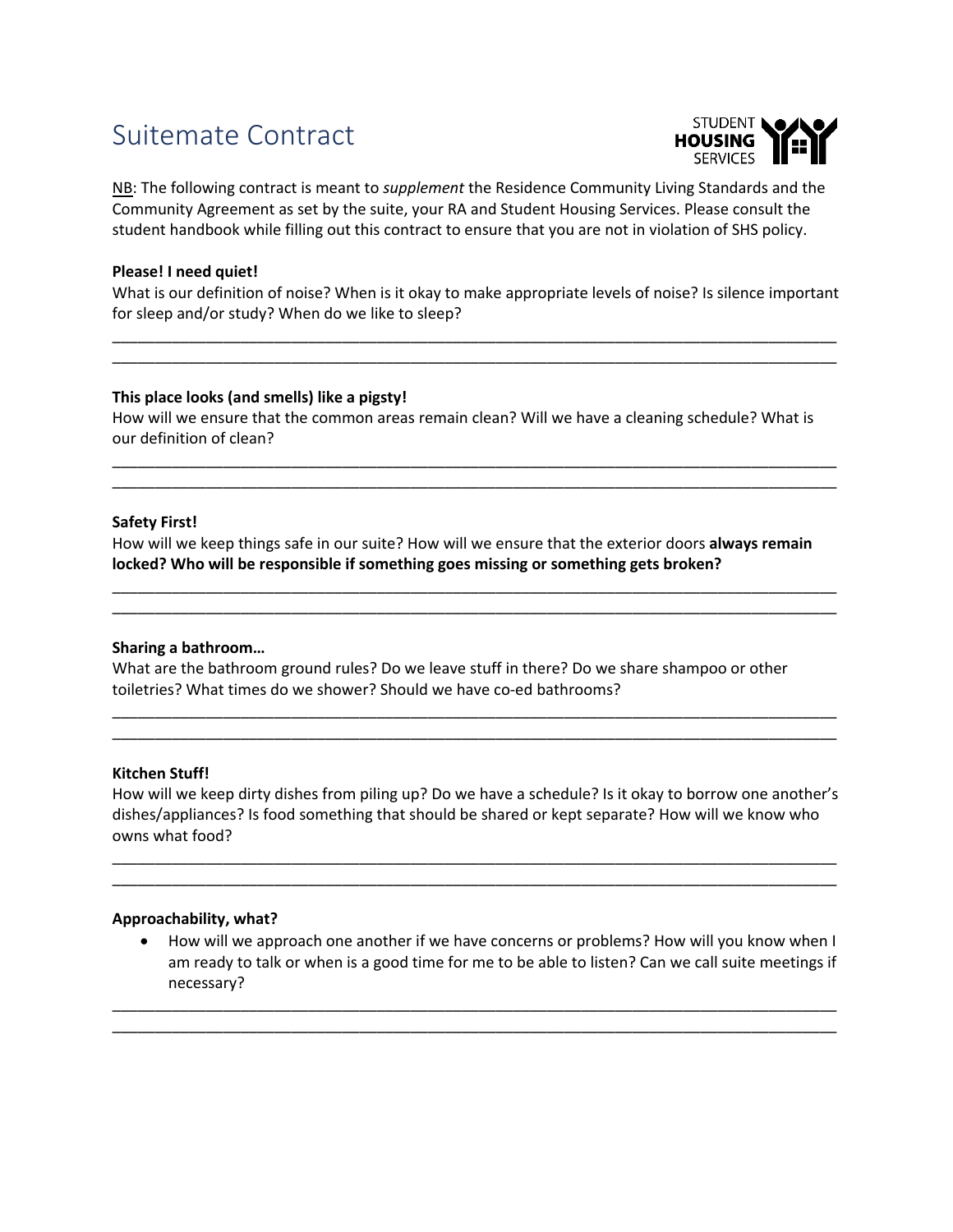# Suitemate Contract



NB: The following contract is meant to *supplement* the Residence Community Living Standards and the Community Agreement as set by the suite, your RA and Student Housing Services. Please consult the student handbook while filling out this contract to ensure that you are not in violation of SHS policy.

# **Please! I need quiet!**

What is our definition of noise? When is it okay to make appropriate levels of noise? Is silence important for sleep and/or study? When do we like to sleep?

\_\_\_\_\_\_\_\_\_\_\_\_\_\_\_\_\_\_\_\_\_\_\_\_\_\_\_\_\_\_\_\_\_\_\_\_\_\_\_\_\_\_\_\_\_\_\_\_\_\_\_\_\_\_\_\_\_\_\_\_\_\_\_\_\_\_\_\_\_\_\_\_\_\_\_\_\_\_\_\_\_\_\_\_\_ \_\_\_\_\_\_\_\_\_\_\_\_\_\_\_\_\_\_\_\_\_\_\_\_\_\_\_\_\_\_\_\_\_\_\_\_\_\_\_\_\_\_\_\_\_\_\_\_\_\_\_\_\_\_\_\_\_\_\_\_\_\_\_\_\_\_\_\_\_\_\_\_\_\_\_\_\_\_\_\_\_\_\_\_\_

## **This place looks (and smells) like a pigsty!**

How will we ensure that the common areas remain clean? Will we have a cleaning schedule? What is our definition of clean?

\_\_\_\_\_\_\_\_\_\_\_\_\_\_\_\_\_\_\_\_\_\_\_\_\_\_\_\_\_\_\_\_\_\_\_\_\_\_\_\_\_\_\_\_\_\_\_\_\_\_\_\_\_\_\_\_\_\_\_\_\_\_\_\_\_\_\_\_\_\_\_\_\_\_\_\_\_\_\_\_\_\_\_\_\_ \_\_\_\_\_\_\_\_\_\_\_\_\_\_\_\_\_\_\_\_\_\_\_\_\_\_\_\_\_\_\_\_\_\_\_\_\_\_\_\_\_\_\_\_\_\_\_\_\_\_\_\_\_\_\_\_\_\_\_\_\_\_\_\_\_\_\_\_\_\_\_\_\_\_\_\_\_\_\_\_\_\_\_\_\_

# **Safety First!**

How will we keep things safe in our suite? How will we ensure that the exterior doors **always remain locked? Who will be responsible if something goes missing or something gets broken?**

\_\_\_\_\_\_\_\_\_\_\_\_\_\_\_\_\_\_\_\_\_\_\_\_\_\_\_\_\_\_\_\_\_\_\_\_\_\_\_\_\_\_\_\_\_\_\_\_\_\_\_\_\_\_\_\_\_\_\_\_\_\_\_\_\_\_\_\_\_\_\_\_\_\_\_\_\_\_\_\_\_\_\_\_\_ \_\_\_\_\_\_\_\_\_\_\_\_\_\_\_\_\_\_\_\_\_\_\_\_\_\_\_\_\_\_\_\_\_\_\_\_\_\_\_\_\_\_\_\_\_\_\_\_\_\_\_\_\_\_\_\_\_\_\_\_\_\_\_\_\_\_\_\_\_\_\_\_\_\_\_\_\_\_\_\_\_\_\_\_\_

#### **Sharing a bathroom…**

What are the bathroom ground rules? Do we leave stuff in there? Do we share shampoo or other toiletries? What times do we shower? Should we have co-ed bathrooms?

## **Kitchen Stuff!**

How will we keep dirty dishes from piling up? Do we have a schedule? Is it okay to borrow one another's dishes/appliances? Is food something that should be shared or kept separate? How will we know who owns what food?

\_\_\_\_\_\_\_\_\_\_\_\_\_\_\_\_\_\_\_\_\_\_\_\_\_\_\_\_\_\_\_\_\_\_\_\_\_\_\_\_\_\_\_\_\_\_\_\_\_\_\_\_\_\_\_\_\_\_\_\_\_\_\_\_\_\_\_\_\_\_\_\_\_\_\_\_\_\_\_\_\_\_\_\_\_ \_\_\_\_\_\_\_\_\_\_\_\_\_\_\_\_\_\_\_\_\_\_\_\_\_\_\_\_\_\_\_\_\_\_\_\_\_\_\_\_\_\_\_\_\_\_\_\_\_\_\_\_\_\_\_\_\_\_\_\_\_\_\_\_\_\_\_\_\_\_\_\_\_\_\_\_\_\_\_\_\_\_\_\_\_

\_\_\_\_\_\_\_\_\_\_\_\_\_\_\_\_\_\_\_\_\_\_\_\_\_\_\_\_\_\_\_\_\_\_\_\_\_\_\_\_\_\_\_\_\_\_\_\_\_\_\_\_\_\_\_\_\_\_\_\_\_\_\_\_\_\_\_\_\_\_\_\_\_\_\_\_\_\_\_\_\_\_\_\_\_ \_\_\_\_\_\_\_\_\_\_\_\_\_\_\_\_\_\_\_\_\_\_\_\_\_\_\_\_\_\_\_\_\_\_\_\_\_\_\_\_\_\_\_\_\_\_\_\_\_\_\_\_\_\_\_\_\_\_\_\_\_\_\_\_\_\_\_\_\_\_\_\_\_\_\_\_\_\_\_\_\_\_\_\_\_

#### **Approachability, what?**

• How will we approach one another if we have concerns or problems? How will you know when I am ready to talk or when is a good time for me to be able to listen? Can we call suite meetings if necessary?

\_\_\_\_\_\_\_\_\_\_\_\_\_\_\_\_\_\_\_\_\_\_\_\_\_\_\_\_\_\_\_\_\_\_\_\_\_\_\_\_\_\_\_\_\_\_\_\_\_\_\_\_\_\_\_\_\_\_\_\_\_\_\_\_\_\_\_\_\_\_\_\_\_\_\_\_\_\_\_\_\_\_\_\_\_ \_\_\_\_\_\_\_\_\_\_\_\_\_\_\_\_\_\_\_\_\_\_\_\_\_\_\_\_\_\_\_\_\_\_\_\_\_\_\_\_\_\_\_\_\_\_\_\_\_\_\_\_\_\_\_\_\_\_\_\_\_\_\_\_\_\_\_\_\_\_\_\_\_\_\_\_\_\_\_\_\_\_\_\_\_